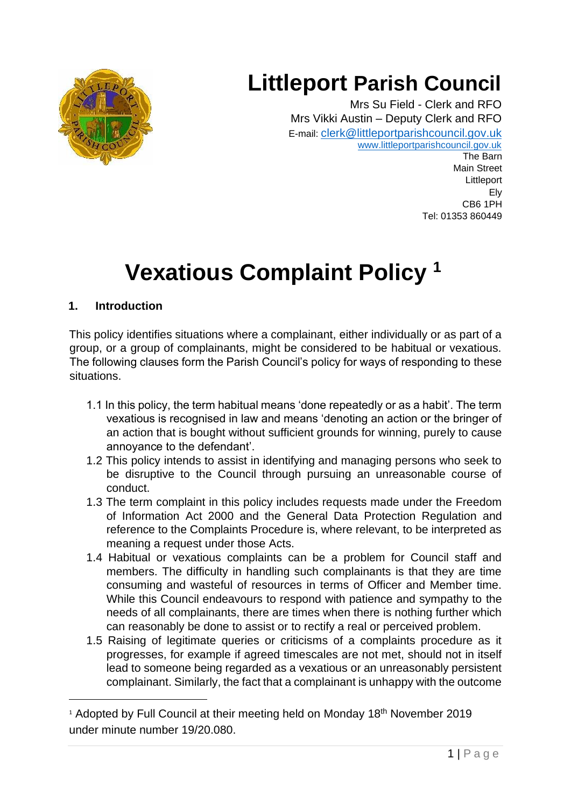

## **Littleport Parish Council**

Mrs Su Field - Clerk and RFO Mrs Vikki Austin – Deputy Clerk and RFO E-mail: [clerk@littleportparishcouncil.gov.uk](mailto:clerk@littleportparishcouncil.gov.uk) www.littleportparishcouncil.gov.uk The Barn Main Street Littleport Ely

CB6 1PH Tel: 01353 860449

# **Vexatious Complaint Policy <sup>1</sup>**

## **1. Introduction**

This policy identifies situations where a complainant, either individually or as part of a group, or a group of complainants, might be considered to be habitual or vexatious. The following clauses form the Parish Council's policy for ways of responding to these situations.

- 1.1 In this policy, the term habitual means 'done repeatedly or as a habit'. The term vexatious is recognised in law and means 'denoting an action or the bringer of an action that is bought without sufficient grounds for winning, purely to cause annoyance to the defendant'.
- 1.2 This policy intends to assist in identifying and managing persons who seek to be disruptive to the Council through pursuing an unreasonable course of conduct.
- 1.3 The term complaint in this policy includes requests made under the Freedom of Information Act 2000 and the General Data Protection Regulation and reference to the Complaints Procedure is, where relevant, to be interpreted as meaning a request under those Acts.
- 1.4 Habitual or vexatious complaints can be a problem for Council staff and members. The difficulty in handling such complainants is that they are time consuming and wasteful of resources in terms of Officer and Member time. While this Council endeavours to respond with patience and sympathy to the needs of all complainants, there are times when there is nothing further which can reasonably be done to assist or to rectify a real or perceived problem.
- 1.5 Raising of legitimate queries or criticisms of a complaints procedure as it progresses, for example if agreed timescales are not met, should not in itself lead to someone being regarded as a vexatious or an unreasonably persistent complainant. Similarly, the fact that a complainant is unhappy with the outcome

<sup>&</sup>lt;sup>1</sup> Adopted by Full Council at their meeting held on Monday 18<sup>th</sup> November 2019 under minute number 19/20.080.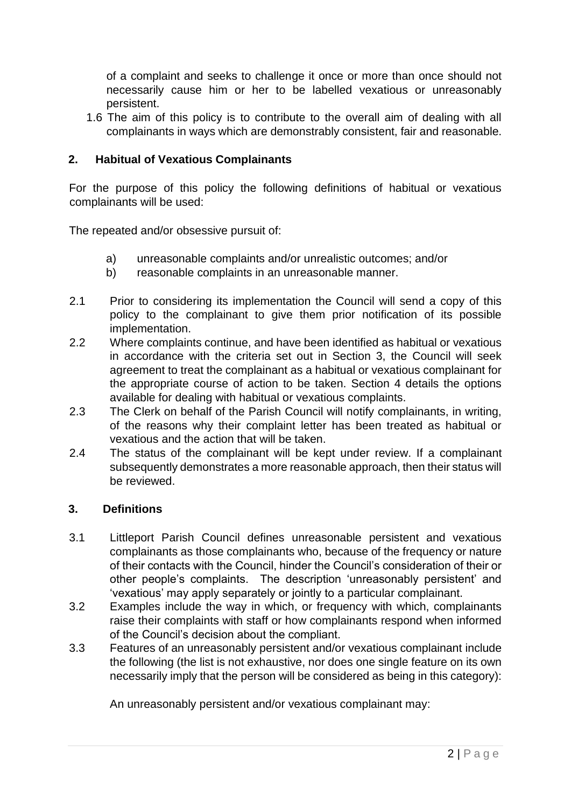of a complaint and seeks to challenge it once or more than once should not necessarily cause him or her to be labelled vexatious or unreasonably persistent.

1.6 The aim of this policy is to contribute to the overall aim of dealing with all complainants in ways which are demonstrably consistent, fair and reasonable.

## **2. Habitual of Vexatious Complainants**

For the purpose of this policy the following definitions of habitual or vexatious complainants will be used:

The repeated and/or obsessive pursuit of:

- a) unreasonable complaints and/or unrealistic outcomes; and/or
- b) reasonable complaints in an unreasonable manner.
- 2.1 Prior to considering its implementation the Council will send a copy of this policy to the complainant to give them prior notification of its possible implementation.
- 2.2 Where complaints continue, and have been identified as habitual or vexatious in accordance with the criteria set out in Section 3, the Council will seek agreement to treat the complainant as a habitual or vexatious complainant for the appropriate course of action to be taken. Section 4 details the options available for dealing with habitual or vexatious complaints.
- 2.3 The Clerk on behalf of the Parish Council will notify complainants, in writing, of the reasons why their complaint letter has been treated as habitual or vexatious and the action that will be taken.
- 2.4 The status of the complainant will be kept under review. If a complainant subsequently demonstrates a more reasonable approach, then their status will be reviewed.

#### **3. Definitions**

- 3.1 Littleport Parish Council defines unreasonable persistent and vexatious complainants as those complainants who, because of the frequency or nature of their contacts with the Council, hinder the Council's consideration of their or other people's complaints. The description 'unreasonably persistent' and 'vexatious' may apply separately or jointly to a particular complainant.
- 3.2 Examples include the way in which, or frequency with which, complainants raise their complaints with staff or how complainants respond when informed of the Council's decision about the compliant.
- 3.3 Features of an unreasonably persistent and/or vexatious complainant include the following (the list is not exhaustive, nor does one single feature on its own necessarily imply that the person will be considered as being in this category):

An unreasonably persistent and/or vexatious complainant may: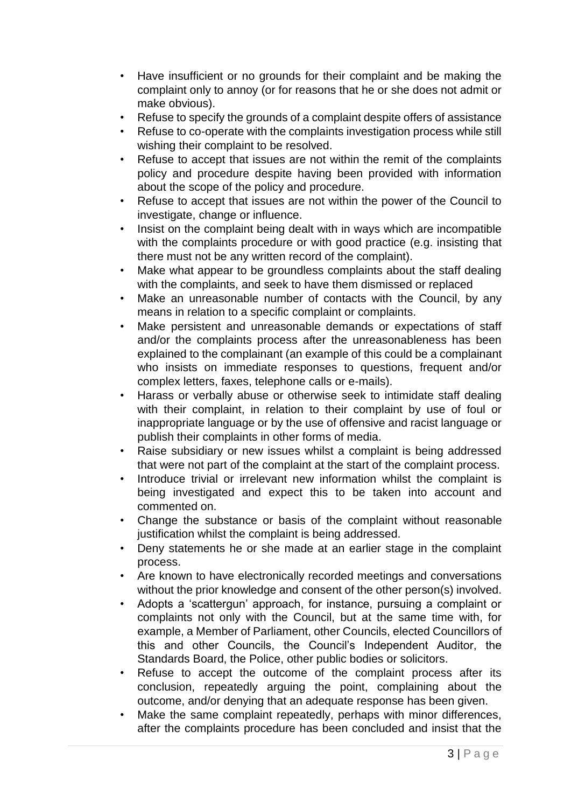- Have insufficient or no grounds for their complaint and be making the complaint only to annoy (or for reasons that he or she does not admit or make obvious).
- Refuse to specify the grounds of a complaint despite offers of assistance
- Refuse to co-operate with the complaints investigation process while still wishing their complaint to be resolved.
- Refuse to accept that issues are not within the remit of the complaints policy and procedure despite having been provided with information about the scope of the policy and procedure.
- Refuse to accept that issues are not within the power of the Council to investigate, change or influence.
- Insist on the complaint being dealt with in ways which are incompatible with the complaints procedure or with good practice (e.g. insisting that there must not be any written record of the complaint).
- Make what appear to be groundless complaints about the staff dealing with the complaints, and seek to have them dismissed or replaced
- Make an unreasonable number of contacts with the Council, by any means in relation to a specific complaint or complaints.
- Make persistent and unreasonable demands or expectations of staff and/or the complaints process after the unreasonableness has been explained to the complainant (an example of this could be a complainant who insists on immediate responses to questions, frequent and/or complex letters, faxes, telephone calls or e-mails).
- Harass or verbally abuse or otherwise seek to intimidate staff dealing with their complaint, in relation to their complaint by use of foul or inappropriate language or by the use of offensive and racist language or publish their complaints in other forms of media.
- Raise subsidiary or new issues whilst a complaint is being addressed that were not part of the complaint at the start of the complaint process.
- Introduce trivial or irrelevant new information whilst the complaint is being investigated and expect this to be taken into account and commented on.
- Change the substance or basis of the complaint without reasonable justification whilst the complaint is being addressed.
- Deny statements he or she made at an earlier stage in the complaint process.
- Are known to have electronically recorded meetings and conversations without the prior knowledge and consent of the other person(s) involved.
- Adopts a 'scattergun' approach, for instance, pursuing a complaint or complaints not only with the Council, but at the same time with, for example, a Member of Parliament, other Councils, elected Councillors of this and other Councils, the Council's Independent Auditor, the Standards Board, the Police, other public bodies or solicitors.
- Refuse to accept the outcome of the complaint process after its conclusion, repeatedly arguing the point, complaining about the outcome, and/or denying that an adequate response has been given.
- Make the same complaint repeatedly, perhaps with minor differences, after the complaints procedure has been concluded and insist that the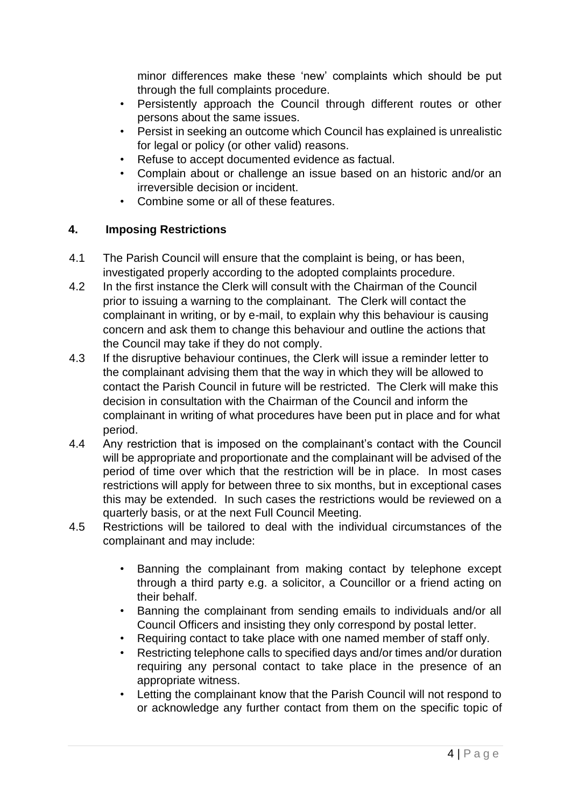minor differences make these 'new' complaints which should be put through the full complaints procedure.

- Persistently approach the Council through different routes or other persons about the same issues.
- Persist in seeking an outcome which Council has explained is unrealistic for legal or policy (or other valid) reasons.
- Refuse to accept documented evidence as factual.
- Complain about or challenge an issue based on an historic and/or an irreversible decision or incident.
- Combine some or all of these features.

## **4. Imposing Restrictions**

- 4.1 The Parish Council will ensure that the complaint is being, or has been, investigated properly according to the adopted complaints procedure.
- 4.2 In the first instance the Clerk will consult with the Chairman of the Council prior to issuing a warning to the complainant. The Clerk will contact the complainant in writing, or by e-mail, to explain why this behaviour is causing concern and ask them to change this behaviour and outline the actions that the Council may take if they do not comply.
- 4.3 If the disruptive behaviour continues, the Clerk will issue a reminder letter to the complainant advising them that the way in which they will be allowed to contact the Parish Council in future will be restricted. The Clerk will make this decision in consultation with the Chairman of the Council and inform the complainant in writing of what procedures have been put in place and for what period.
- 4.4 Any restriction that is imposed on the complainant's contact with the Council will be appropriate and proportionate and the complainant will be advised of the period of time over which that the restriction will be in place. In most cases restrictions will apply for between three to six months, but in exceptional cases this may be extended. In such cases the restrictions would be reviewed on a quarterly basis, or at the next Full Council Meeting.
- 4.5 Restrictions will be tailored to deal with the individual circumstances of the complainant and may include:
	- Banning the complainant from making contact by telephone except through a third party e.g. a solicitor, a Councillor or a friend acting on their behalf.
	- Banning the complainant from sending emails to individuals and/or all Council Officers and insisting they only correspond by postal letter.
	- Requiring contact to take place with one named member of staff only.
	- Restricting telephone calls to specified days and/or times and/or duration requiring any personal contact to take place in the presence of an appropriate witness.
	- Letting the complainant know that the Parish Council will not respond to or acknowledge any further contact from them on the specific topic of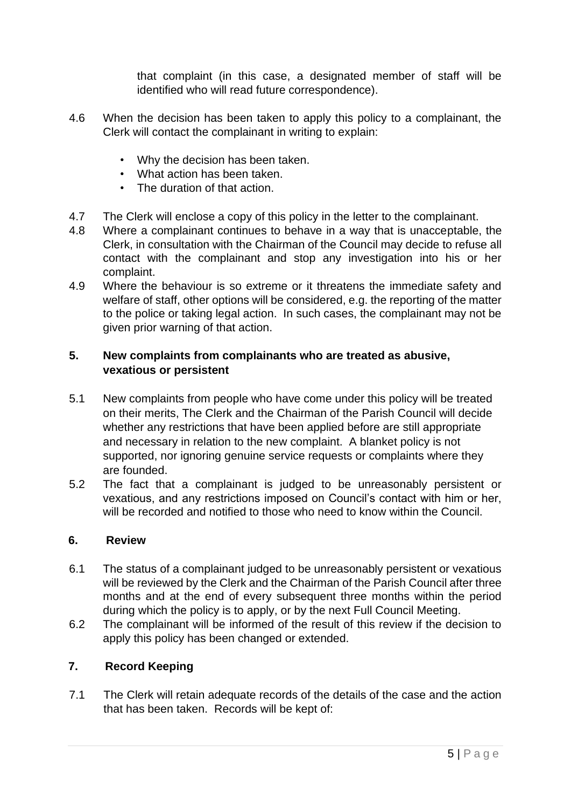that complaint (in this case, a designated member of staff will be identified who will read future correspondence).

- 4.6 When the decision has been taken to apply this policy to a complainant, the Clerk will contact the complainant in writing to explain:
	- Why the decision has been taken.
	- What action has been taken.
	- The duration of that action.
- 4.7 The Clerk will enclose a copy of this policy in the letter to the complainant.
- 4.8 Where a complainant continues to behave in a way that is unacceptable, the Clerk, in consultation with the Chairman of the Council may decide to refuse all contact with the complainant and stop any investigation into his or her complaint.
- 4.9 Where the behaviour is so extreme or it threatens the immediate safety and welfare of staff, other options will be considered, e.g. the reporting of the matter to the police or taking legal action. In such cases, the complainant may not be given prior warning of that action.

## **5. New complaints from complainants who are treated as abusive, vexatious or persistent**

- 5.1 New complaints from people who have come under this policy will be treated on their merits, The Clerk and the Chairman of the Parish Council will decide whether any restrictions that have been applied before are still appropriate and necessary in relation to the new complaint. A blanket policy is not supported, nor ignoring genuine service requests or complaints where they are founded.
- 5.2 The fact that a complainant is judged to be unreasonably persistent or vexatious, and any restrictions imposed on Council's contact with him or her, will be recorded and notified to those who need to know within the Council.

### **6. Review**

- 6.1 The status of a complainant judged to be unreasonably persistent or vexatious will be reviewed by the Clerk and the Chairman of the Parish Council after three months and at the end of every subsequent three months within the period during which the policy is to apply, or by the next Full Council Meeting.
- 6.2 The complainant will be informed of the result of this review if the decision to apply this policy has been changed or extended.

## **7. Record Keeping**

7.1 The Clerk will retain adequate records of the details of the case and the action that has been taken. Records will be kept of: